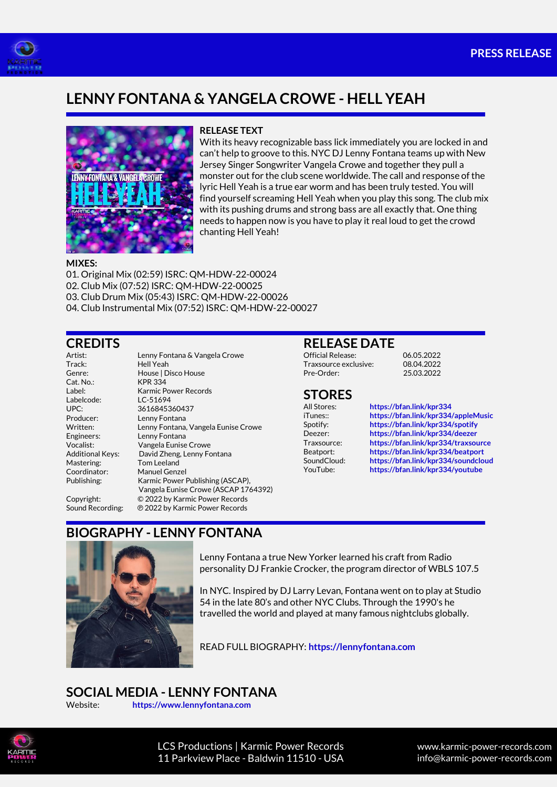



# **LENNY FONTANA & YANGELA CROWE - HELL YEAH**



#### **RELEASE TEXT**

With its heavy recognizable bass lick immediately you are locked in and can't help to groove to this. NYC DJ Lenny Fontana teams up with New Jersey Singer Songwriter Vangela Crowe and together they pull a monster out for the club scene worldwide. The call and response of the lyric Hell Yeah is a true ear worm and has been truly tested. You will find yourself screaming Hell Yeah when you play this song. The club mix with its pushing drums and strong bass are all exactly that. One thing needs to happen now is you have to play it real loud to get the crowd chanting Hell Yeah!

#### **MIXES:**

01. Original Mix (02:59) ISRC: QM-HDW-22-00024 02. Club Mix (07:52) ISRC: QM-HDW-22-00025

03. Club Drum Mix (05:43) ISRC: QM-HDW-22-00026

04. Club Instrumental Mix (07:52) ISRC: QM-HDW-22-00027

#### **CREDITS**

Track: Hell Yeah  $Cat$  No.  $KPR$  334 Labelcode: LC-51694 Mastering: Tom Leeland Coordinator: Manuel Genzel<br>Publishing: Karmic Power I

Artist: Lenny Fontana & Vangela Crowe Genre: House | Disco House Label: Karmic Power Records UPC: 3616845360437<br>Producer: Lenny Fontana Lenny Fontana Written: Lenny Fontana, Vangela Eunise Crowe<br>
Engineers: Lenny Fontana Lenny Fontana Vocalist: Vangela Eunise Crowe Additional Keys: David Zheng, Lenny Fontana Karmic Power Publishing (ASCAP), Vangela Eunise Crowe (ASCAP 1764392) Copyright: © 2022 by Karmic Power Records Sound Recording: ℗ 2022 by Karmic Power Records

#### **RELEASE DATE**

Official Release: 06.05.2022 Traxsource exclusive: 08.04.2022<br>Pre-Order: 25.03.2022

# **STORES**<br>All Stores:

All Stores: **<https://bfan.link/kpr334>** iTunes:: **<https://bfan.link/kpr334/appleMusic>** <https://bfan.link/kpr334/spotify> Deezer: **<https://bfan.link/kpr334/deezer>** Traxsource: **<https://bfan.link/kpr334/traxsource>** Beatport: **<https://bfan.link/kpr334/beatport>** <https://bfan.link/kpr334/soundcloud> YouTube: **<https://bfan.link/kpr334/youtube>**

Pre-Order: 25.03.2022

## **BIOGRAPHY - LENNY FONTANA**



Lenny Fontana a true New Yorker learned his craft from Radio personality DJ Frankie Crocker, the program director of WBLS 107.5

In NYC. Inspired by DJ Larry Levan, Fontana went on to play at Studio 54 in the late 80's and other NYC Clubs. Through the 1990's he travelled the world and played at many famous nightclubs globally.

READ FULL BIOGRAPHY: **[https://lennyfontana.com](https://lennyfontana.com/)**

## **SOCIAL MEDIA - LENNY FONTANA**

Website: **[https://www.lennyfontana.com](https://www.lennyfontana.com/)**



LCS Productions | Karmic Power Records 11 Parkview Place - Baldwin 11510 - USA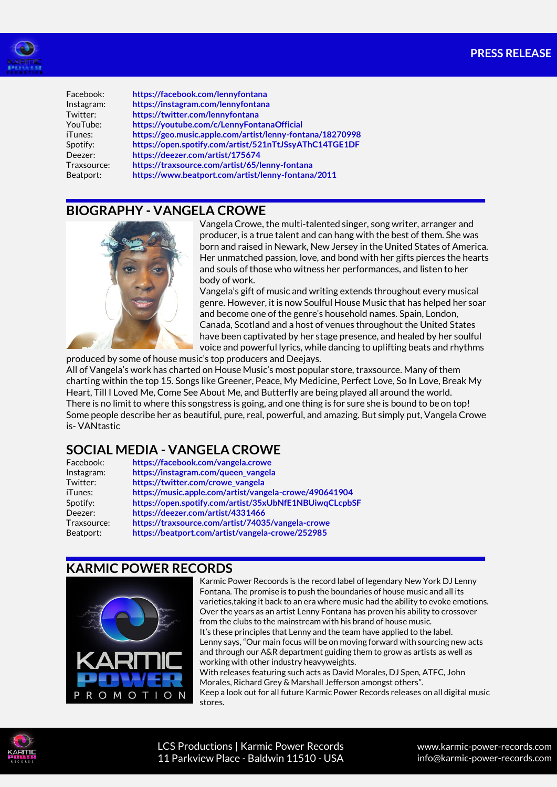

Facebook: **<https://facebook.com/lennyfontana>** Instagram: **<https://instagram.com/lennyfontana>** Twitter: **[https://twitter.com/lennyfontana](https://twitter.com/intent/follow?source=followbutton&variant=1.0&screen_name=LennyFontana)** YouTube: **[https://youtube.com/c/LennyFontanaOfficial](https://www.youtube.com/c/LennyFontanaOfficial?sub_confirmation=1)** iTunes: **<https://geo.music.apple.com/artist/lenny-fontana/18270998>** Spotify: **<https://open.spotify.com/artist/521nTtJSsyAThC14TGE1DF>** Deezer: **<https://deezer.com/artist/175674>** Traxsource: **<https://traxsource.com/artist/65/lenny-fontana>** Beatport: **<https://www.beatport.com/artist/lenny-fontana/2011>**

## **BIOGRAPHY - VANGELA CROWE**



Vangela Crowe, the multi-talented singer, song writer, arranger and producer, is a true talent and can hang with the best of them. She was born and raised in Newark, New Jersey in the United States of America. Her unmatched passion, love, and bond with her gifts pierces the hearts and souls of those who witness her performances, and listen to her body of work.

Vangela's gift of music and writing extends throughout every musical genre. However, it is now Soulful House Music that has helped her soar and become one of the genre's household names. Spain, London, Canada, Scotland and a host of venues throughout the United States have been captivated by her stage presence, and healed by her soulful voice and powerful lyrics, while dancing to uplifting beats and rhythms

produced by some of house music's top producers and Deejays.

All of Vangela's work has charted on House Music's most popular store, traxsource. Many of them charting within the top 15. Songs like Greener, Peace, My Medicine, Perfect Love, So In Love, Break My Heart, Till I Loved Me, Come See About Me, and Butterfly are being played all around the world. There is no limit to where this songstress is going, and one thing is for sure she is bound to be on top! Some people describe her as beautiful, pure, real, powerful, and amazing. But simply put, Vangela Crowe is- VANtastic

## **SOCIAL MEDIA - VANGELA CROWE**

| Facebook:   | https://facebook.com/vangela.crowe                     |
|-------------|--------------------------------------------------------|
| Instagram:  | https://instagram.com/queen_vangela                    |
| Twitter:    | https://twitter.com/crowe_vangela                      |
| iTunes:     | https://music.apple.com/artist/vangela-crowe/490641904 |
| Spotify:    | https://open.spotify.com/artist/35xUbNfE1NBUiwqCLcpbSF |
| Deezer:     | https://deezer.com/artist/4331466                      |
| Traxsource: | https://traxsource.com/artist/74035/vangela-crowe      |
| Beatport:   | https://beatport.com/artist/vangela-crowe/252985       |

#### **KARMIC POWER RECORDS**



Karmic Power Recoords is the record label of legendary New York DJ Lenny Fontana. The promise is to push the boundaries of house music and all its varieties,taking it back to an era where music had the ability to evoke emotions. Over the years as an artist Lenny Fontana has proven his ability to crossover from the clubs to the mainstream with his brand of house music. It's these principles that Lenny and the team have applied to the label. Lenny says, "Our main focus will be on moving forward with sourcing new acts and through our A&R department guiding them to grow as artists as well as working with other industry heavyweights. With releases featuring such acts as David Morales, DJ Spen, ATFC, John Morales, Richard Grey & Marshall Jefferson amongst others".

Keep a look out for all future Karmic Power Records releases on all digital music stores.



LCS Productions | Karmic Power Records 11 Parkview Place - Baldwin 11510 - USA